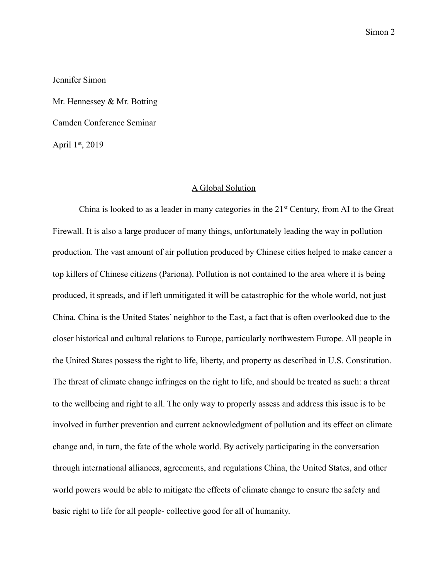Jennifer Simon

Mr. Hennessey & Mr. Botting Camden Conference Seminar April 1st, 2019

## A Global Solution

 China is looked to as a leader in many categories in the 21st Century, from AI to the Great Firewall. It is also a large producer of many things, unfortunately leading the way in pollution production. The vast amount of air pollution produced by Chinese cities helped to make cancer a top killers of Chinese citizens (Pariona). Pollution is not contained to the area where it is being produced, it spreads, and if left unmitigated it will be catastrophic for the whole world, not just China. China is the United States' neighbor to the East, a fact that is often overlooked due to the closer historical and cultural relations to Europe, particularly northwestern Europe. All people in the United States possess the right to life, liberty, and property as described in U.S. Constitution. The threat of climate change infringes on the right to life, and should be treated as such: a threat to the wellbeing and right to all. The only way to properly assess and address this issue is to be involved in further prevention and current acknowledgment of pollution and its effect on climate change and, in turn, the fate of the whole world. By actively participating in the conversation through international alliances, agreements, and regulations China, the United States, and other world powers would be able to mitigate the effects of climate change to ensure the safety and basic right to life for all people- collective good for all of humanity.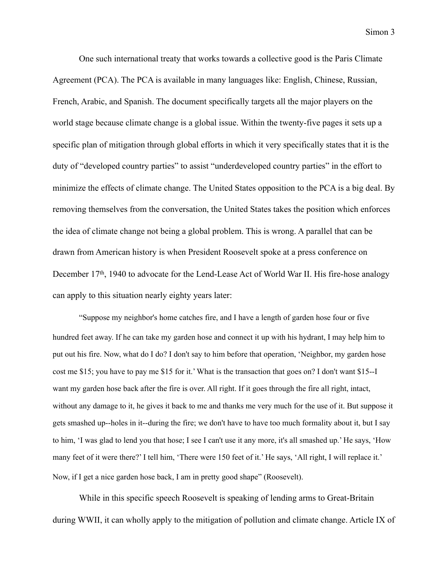One such international treaty that works towards a collective good is the Paris Climate Agreement (PCA). The PCA is available in many languages like: English, Chinese, Russian, French, Arabic, and Spanish. The document specifically targets all the major players on the world stage because climate change is a global issue. Within the twenty-five pages it sets up a specific plan of mitigation through global efforts in which it very specifically states that it is the duty of "developed country parties" to assist "underdeveloped country parties" in the effort to minimize the effects of climate change. The United States opposition to the PCA is a big deal. By removing themselves from the conversation, the United States takes the position which enforces the idea of climate change not being a global problem. This is wrong. A parallel that can be drawn from American history is when President Roosevelt spoke at a press conference on December 17<sup>th</sup>, 1940 to advocate for the Lend-Lease Act of World War II. His fire-hose analogy can apply to this situation nearly eighty years later:

"Suppose my neighbor's home catches fire, and I have a length of garden hose four or five hundred feet away. If he can take my garden hose and connect it up with his hydrant, I may help him to put out his fire. Now, what do I do? I don't say to him before that operation, 'Neighbor, my garden hose cost me \$15; you have to pay me \$15 for it.' What is the transaction that goes on? I don't want \$15--I want my garden hose back after the fire is over. All right. If it goes through the fire all right, intact, without any damage to it, he gives it back to me and thanks me very much for the use of it. But suppose it gets smashed up--holes in it--during the fire; we don't have to have too much formality about it, but I say to him, 'I was glad to lend you that hose; I see I can't use it any more, it's all smashed up.' He says, 'How many feet of it were there?' I tell him, 'There were 150 feet of it.' He says, 'All right, I will replace it.' Now, if I get a nice garden hose back, I am in pretty good shape" (Roosevelt).

 While in this specific speech Roosevelt is speaking of lending arms to Great-Britain during WWII, it can wholly apply to the mitigation of pollution and climate change. Article IX of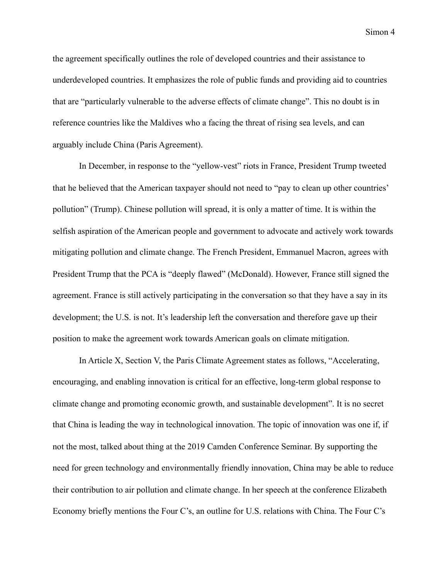the agreement specifically outlines the role of developed countries and their assistance to underdeveloped countries. It emphasizes the role of public funds and providing aid to countries that are "particularly vulnerable to the adverse effects of climate change". This no doubt is in reference countries like the Maldives who a facing the threat of rising sea levels, and can arguably include China (Paris Agreement).

 In December, in response to the "yellow-vest" riots in France, President Trump tweeted that he believed that the American taxpayer should not need to "pay to clean up other countries' pollution" (Trump). Chinese pollution will spread, it is only a matter of time. It is within the selfish aspiration of the American people and government to advocate and actively work towards mitigating pollution and climate change. The French President, Emmanuel Macron, agrees with President Trump that the PCA is "deeply flawed" (McDonald). However, France still signed the agreement. France is still actively participating in the conversation so that they have a say in its development; the U.S. is not. It's leadership left the conversation and therefore gave up their position to make the agreement work towards American goals on climate mitigation.

 In Article X, Section V, the Paris Climate Agreement states as follows, "Accelerating, encouraging, and enabling innovation is critical for an effective, long-term global response to climate change and promoting economic growth, and sustainable development". It is no secret that China is leading the way in technological innovation. The topic of innovation was one if, if not the most, talked about thing at the 2019 Camden Conference Seminar. By supporting the need for green technology and environmentally friendly innovation, China may be able to reduce their contribution to air pollution and climate change. In her speech at the conference Elizabeth Economy briefly mentions the Four C's, an outline for U.S. relations with China. The Four C's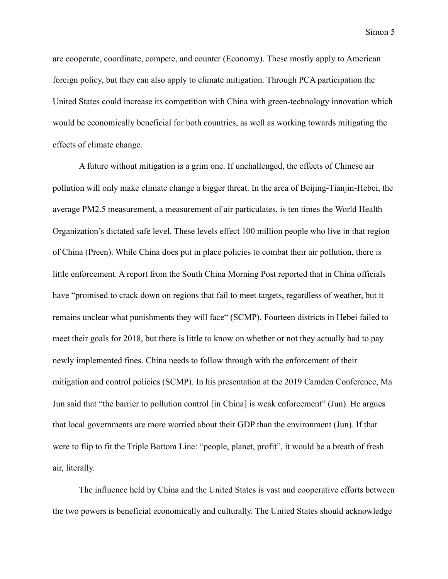are cooperate, coordinate, compete, and counter (Economy). These mostly apply to American foreign policy, but they can also apply to climate mitigation. Through PCA participation the United States could increase its competition with China with green-technology innovation which would be economically beneficial for both countries, as well as working towards mitigating the effects of climate change.

 A future without mitigation is a grim one. If unchallenged, the effects of Chinese air pollution will only make climate change a bigger threat. In the area of Beijing-Tianjin-Hebei, the average PM2.5 measurement, a measurement of air particulates, is ten times the World Health Organization's dictated safe level. These levels effect 100 million people who live in that region of China (Preen). While China does put in place policies to combat their air pollution, there is little enforcement. A report from the South China Morning Post reported that in China officials have "promised to crack down on regions that fail to meet targets, regardless of weather, but it remains unclear what punishments they will face" (SCMP). Fourteen districts in Hebei failed to meet their goals for 2018, but there is little to know on whether or not they actually had to pay newly implemented fines. China needs to follow through with the enforcement of their mitigation and control policies (SCMP). In his presentation at the 2019 Camden Conference, Ma Jun said that "the barrier to pollution control [in China] is weak enforcement" (Jun). He argues that local governments are more worried about their GDP than the environment (Jun). If that were to flip to fit the Triple Bottom Line: "people, planet, profit", it would be a breath of fresh air, literally.

 The influence held by China and the United States is vast and cooperative efforts between the two powers is beneficial economically and culturally. The United States should acknowledge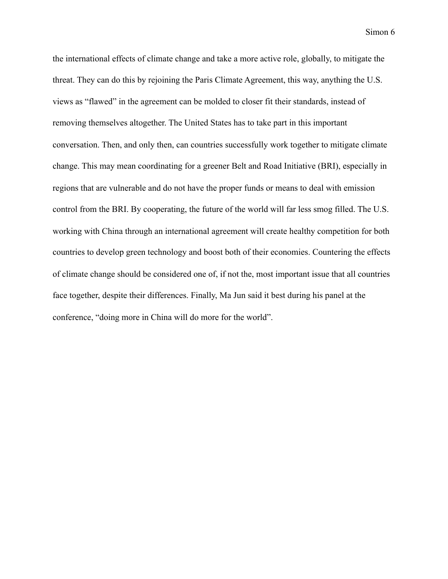the international effects of climate change and take a more active role, globally, to mitigate the threat. They can do this by rejoining the Paris Climate Agreement, this way, anything the U.S. views as "flawed" in the agreement can be molded to closer fit their standards, instead of removing themselves altogether. The United States has to take part in this important conversation. Then, and only then, can countries successfully work together to mitigate climate change. This may mean coordinating for a greener Belt and Road Initiative (BRI), especially in regions that are vulnerable and do not have the proper funds or means to deal with emission control from the BRI. By cooperating, the future of the world will far less smog filled. The U.S. working with China through an international agreement will create healthy competition for both countries to develop green technology and boost both of their economies. Countering the effects of climate change should be considered one of, if not the, most important issue that all countries face together, despite their differences. Finally, Ma Jun said it best during his panel at the conference, "doing more in China will do more for the world".